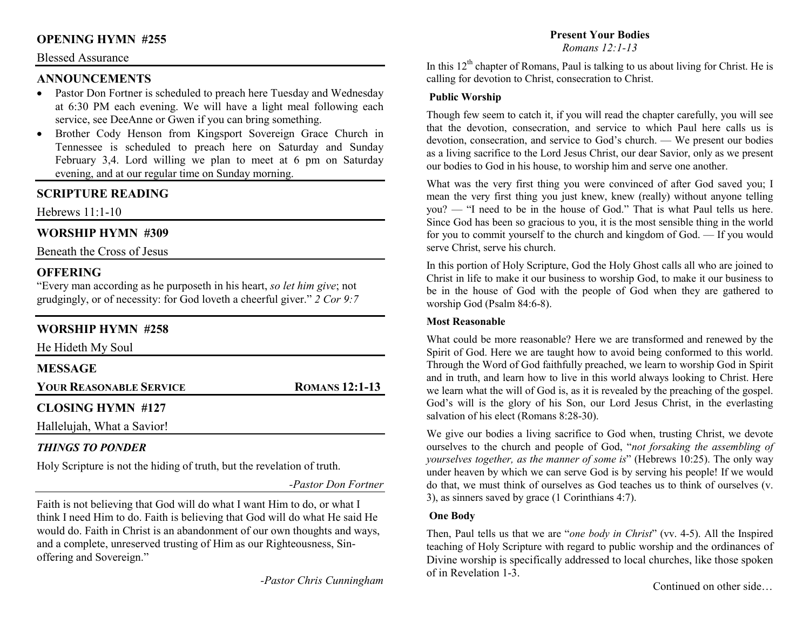# **OPENING HYMN #255**

### Blessed Assurance

## **ANNOUNCEMENTS**

- Pastor Don Fortner is scheduled to preach here Tuesday and Wednesday at 6:30 PM each evening. We will have a light meal following each service, see DeeAnne or Gwen if you can bring something.
- Brother Cody Henson from Kingsport Sovereign Grace Church in •Tennessee is scheduled to preach here on Saturday and Sunday February 3,4. Lord willing we plan to meet at 6 pm on Saturday evening, and at our regular time on Sunday morning.

# **SCRIPTURE READING**

Hebrews 11:1-10

## **WORSHIP HYMN #309**

Beneath the Cross of Jesus

# **OFFERING**

 "Every man according as he purposeth in his heart, *so let him give*; not grudgingly, or of necessity: for God loveth a cheerful giver." *2 Cor 9:7*

# **WORSHIP HYMN #258**

| He Hideth My Soul              |                       |
|--------------------------------|-----------------------|
| <b>MESSAGE</b>                 |                       |
| <b>YOUR REASONABLE SERVICE</b> | <b>ROMANS 12:1-13</b> |
| <b>CLOSING HYMN #127</b>       |                       |
| Hallelujah, What a Savior!     |                       |

### *THINGS TO PONDER*

Holy Scripture is not the hiding of truth, but the revelation of truth.

*-Pastor Don Fortner* 

Faith is not believing that God will do what I want Him to do, or what I think I need Him to do. Faith is believing that God will do what He said He would do. Faith in Christ is an abandonment of our own thoughts and ways, and a complete, unreserved trusting of Him as our Righteousness, Sinoffering and Sovereign."

*-Pastor Chris Cunningham* 

## **Present Your Bodies**

*Romans 12:1-13*

In this  $12<sup>th</sup>$  chapter of Romans, Paul is talking to us about living for Christ. He is calling for devotion to Christ, consecration to Christ.

#### **Public Worship**

Though few seem to catch it, if you will read the chapter carefully, you will see that the devotion, consecration, and service to which Paul here calls us is devotion, consecration, and service to God's church. — We present our bodies as a living sacrifice to the Lord Jesus Christ, our dear Savior, only as we present our bodies to God in his house, to worship him and serve one another.

What was the very first thing you were convinced of after God saved you; I mean the very first thing you just knew, knew (really) without anyone telling you? — "I need to be in the house of God." That is what Paul tells us here. Since God has been so gracious to you, it is the most sensible thing in the world for you to commit yourself to the church and kingdom of God. — If you would serve Christ, serve his church.

In this portion of Holy Scripture, God the Holy Ghost calls all who are joined to Christ in life to make it our business to worship God, to make it our business to be in the house of God with the people of God when they are gathered to worship God (Psalm 84:6-8).

#### **Most Reasonable**

What could be more reasonable? Here we are transformed and renewed by the Spirit of God. Here we are taught how to avoid being conformed to this world. Through the Word of God faithfully preached, we learn to worship God in Spirit and in truth, and learn how to live in this world always looking to Christ. Here we learn what the will of God is, as it is revealed by the preaching of the gospel. God's will is the glory of his Son, our Lord Jesus Christ, in the everlasting salvation of his elect (Romans 8:28-30).

We give our bodies a living sacrifice to God when, trusting Christ, we devote ourselves to the church and people of God, "*not forsaking the assembling of yourselves together, as the manner of some is*" (Hebrews 10:25). The only way under heaven by which we can serve God is by serving his people! If we would do that, we must think of ourselves as God teaches us to think of ourselves (v. 3), as sinners saved by grace (1 Corinthians 4:7).

#### **One Body**

Then, Paul tells us that we are "*one body in Christ*" (vv. 4-5). All the Inspired teaching of Holy Scripture with regard to public worship and the ordinances of Divine worship is specifically addressed to local churches, like those spoken of in Revelation 1-3.

Continued on other side…